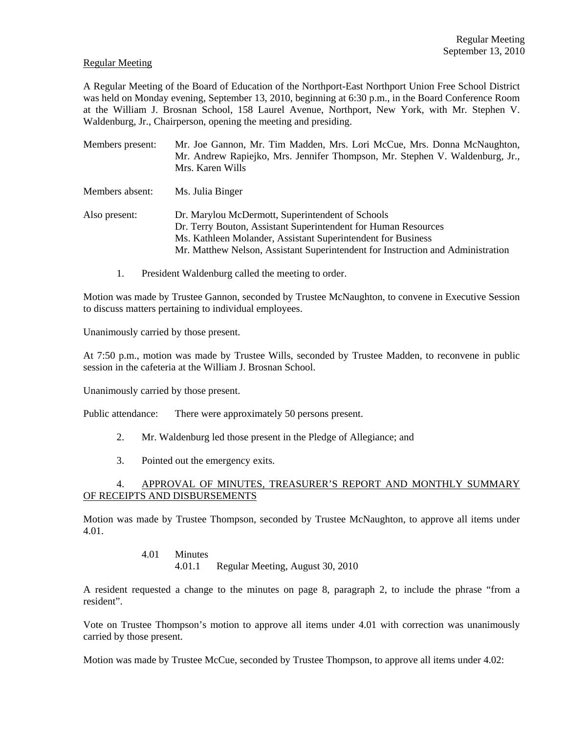#### Regular Meeting

A Regular Meeting of the Board of Education of the Northport-East Northport Union Free School District was held on Monday evening, September 13, 2010, beginning at 6:30 p.m., in the Board Conference Room at the William J. Brosnan School, 158 Laurel Avenue, Northport, New York, with Mr. Stephen V. Waldenburg, Jr., Chairperson, opening the meeting and presiding.

Members present: Mr. Joe Gannon, Mr. Tim Madden, Mrs. Lori McCue, Mrs. Donna McNaughton, Mr. Andrew Rapiejko, Mrs. Jennifer Thompson, Mr. Stephen V. Waldenburg, Jr., Mrs. Karen Wills

Members absent: Ms. Julia Binger

Also present: Dr. Marylou McDermott, Superintendent of Schools Dr. Terry Bouton, Assistant Superintendent for Human Resources Ms. Kathleen Molander, Assistant Superintendent for Business Mr. Matthew Nelson, Assistant Superintendent for Instruction and Administration

1. President Waldenburg called the meeting to order.

Motion was made by Trustee Gannon, seconded by Trustee McNaughton, to convene in Executive Session to discuss matters pertaining to individual employees.

Unanimously carried by those present.

At 7:50 p.m., motion was made by Trustee Wills, seconded by Trustee Madden, to reconvene in public session in the cafeteria at the William J. Brosnan School.

Unanimously carried by those present.

Public attendance: There were approximately 50 persons present.

- 2. Mr. Waldenburg led those present in the Pledge of Allegiance; and
- 3. Pointed out the emergency exits.

### 4. APPROVAL OF MINUTES, TREASURER'S REPORT AND MONTHLY SUMMARY OF RECEIPTS AND DISBURSEMENTS

Motion was made by Trustee Thompson, seconded by Trustee McNaughton, to approve all items under 4.01.

#### 4.01 Minutes 4.01.1 Regular Meeting, August 30, 2010

A resident requested a change to the minutes on page 8, paragraph 2, to include the phrase "from a resident".

Vote on Trustee Thompson's motion to approve all items under 4.01 with correction was unanimously carried by those present.

Motion was made by Trustee McCue, seconded by Trustee Thompson, to approve all items under 4.02: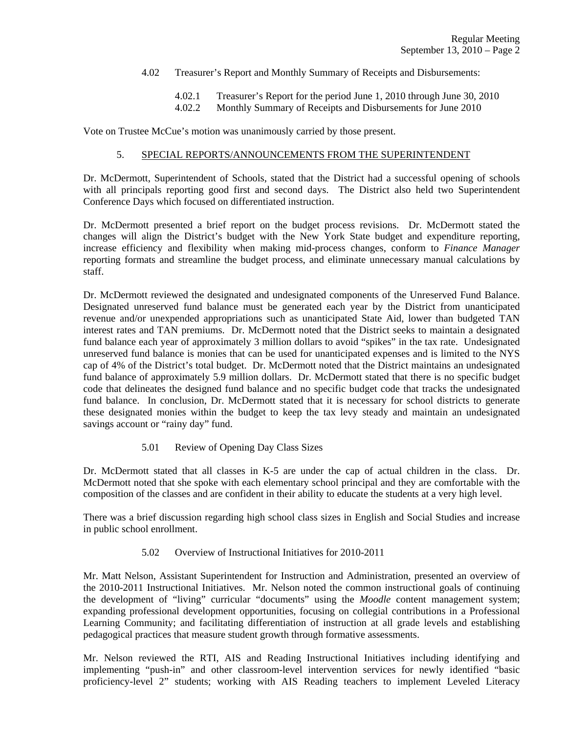- 4.02 Treasurer's Report and Monthly Summary of Receipts and Disbursements:
	- 4.02.1 Treasurer's Report for the period June 1, 2010 through June 30, 2010
	- 4.02.2 Monthly Summary of Receipts and Disbursements for June 2010

Vote on Trustee McCue's motion was unanimously carried by those present.

### 5. SPECIAL REPORTS/ANNOUNCEMENTS FROM THE SUPERINTENDENT

Dr. McDermott, Superintendent of Schools, stated that the District had a successful opening of schools with all principals reporting good first and second days. The District also held two Superintendent Conference Days which focused on differentiated instruction.

Dr. McDermott presented a brief report on the budget process revisions. Dr. McDermott stated the changes will align the District's budget with the New York State budget and expenditure reporting, increase efficiency and flexibility when making mid-process changes, conform to *Finance Manager* reporting formats and streamline the budget process, and eliminate unnecessary manual calculations by staff.

Dr. McDermott reviewed the designated and undesignated components of the Unreserved Fund Balance. Designated unreserved fund balance must be generated each year by the District from unanticipated revenue and/or unexpended appropriations such as unanticipated State Aid, lower than budgeted TAN interest rates and TAN premiums. Dr. McDermott noted that the District seeks to maintain a designated fund balance each year of approximately 3 million dollars to avoid "spikes" in the tax rate. Undesignated unreserved fund balance is monies that can be used for unanticipated expenses and is limited to the NYS cap of 4% of the District's total budget. Dr. McDermott noted that the District maintains an undesignated fund balance of approximately 5.9 million dollars. Dr. McDermott stated that there is no specific budget code that delineates the designed fund balance and no specific budget code that tracks the undesignated fund balance. In conclusion, Dr. McDermott stated that it is necessary for school districts to generate these designated monies within the budget to keep the tax levy steady and maintain an undesignated savings account or "rainy day" fund.

### 5.01 Review of Opening Day Class Sizes

Dr. McDermott stated that all classes in K-5 are under the cap of actual children in the class. Dr. McDermott noted that she spoke with each elementary school principal and they are comfortable with the composition of the classes and are confident in their ability to educate the students at a very high level.

There was a brief discussion regarding high school class sizes in English and Social Studies and increase in public school enrollment.

### 5.02 Overview of Instructional Initiatives for 2010-2011

Mr. Matt Nelson, Assistant Superintendent for Instruction and Administration, presented an overview of the 2010-2011 Instructional Initiatives. Mr. Nelson noted the common instructional goals of continuing the development of "living" curricular "documents" using the *Moodle* content management system; expanding professional development opportunities, focusing on collegial contributions in a Professional Learning Community; and facilitating differentiation of instruction at all grade levels and establishing pedagogical practices that measure student growth through formative assessments.

Mr. Nelson reviewed the RTI, AIS and Reading Instructional Initiatives including identifying and implementing "push-in" and other classroom-level intervention services for newly identified "basic proficiency-level 2" students; working with AIS Reading teachers to implement Leveled Literacy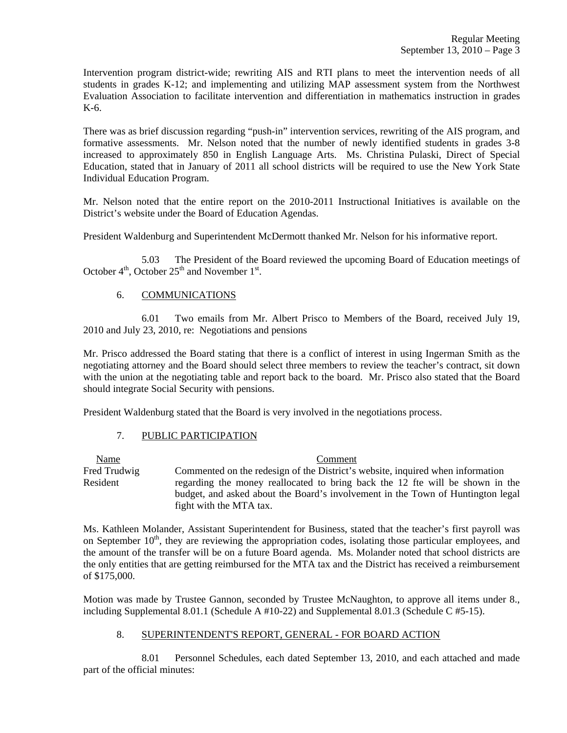Intervention program district-wide; rewriting AIS and RTI plans to meet the intervention needs of all students in grades K-12; and implementing and utilizing MAP assessment system from the Northwest Evaluation Association to facilitate intervention and differentiation in mathematics instruction in grades K-6.

There was as brief discussion regarding "push-in" intervention services, rewriting of the AIS program, and formative assessments. Mr. Nelson noted that the number of newly identified students in grades 3-8 increased to approximately 850 in English Language Arts. Ms. Christina Pulaski, Direct of Special Education, stated that in January of 2011 all school districts will be required to use the New York State Individual Education Program.

Mr. Nelson noted that the entire report on the 2010-2011 Instructional Initiatives is available on the District's website under the Board of Education Agendas.

President Waldenburg and Superintendent McDermott thanked Mr. Nelson for his informative report.

 5.03 The President of the Board reviewed the upcoming Board of Education meetings of October  $4<sup>th</sup>$ , October  $25<sup>th</sup>$  and November  $1<sup>st</sup>$ .

### 6. COMMUNICATIONS

 6.01 Two emails from Mr. Albert Prisco to Members of the Board, received July 19, 2010 and July 23, 2010, re: Negotiations and pensions

Mr. Prisco addressed the Board stating that there is a conflict of interest in using Ingerman Smith as the negotiating attorney and the Board should select three members to review the teacher's contract, sit down with the union at the negotiating table and report back to the board. Mr. Prisco also stated that the Board should integrate Social Security with pensions.

President Waldenburg stated that the Board is very involved in the negotiations process.

# 7. PUBLIC PARTICIPATION

 Name Comment Fred Trudwig Commented on the redesign of the District's website, inquired when information Resident regarding the money reallocated to bring back the 12 fte will be shown in the budget, and asked about the Board's involvement in the Town of Huntington legal fight with the MTA tax.

Ms. Kathleen Molander, Assistant Superintendent for Business, stated that the teacher's first payroll was on September  $10<sup>th</sup>$ , they are reviewing the appropriation codes, isolating those particular employees, and the amount of the transfer will be on a future Board agenda. Ms. Molander noted that school districts are the only entities that are getting reimbursed for the MTA tax and the District has received a reimbursement of \$175,000.

Motion was made by Trustee Gannon, seconded by Trustee McNaughton, to approve all items under 8., including Supplemental 8.01.1 (Schedule A #10-22) and Supplemental 8.01.3 (Schedule C #5-15).

# 8. SUPERINTENDENT'S REPORT, GENERAL - FOR BOARD ACTION

 8.01 Personnel Schedules, each dated September 13, 2010, and each attached and made part of the official minutes: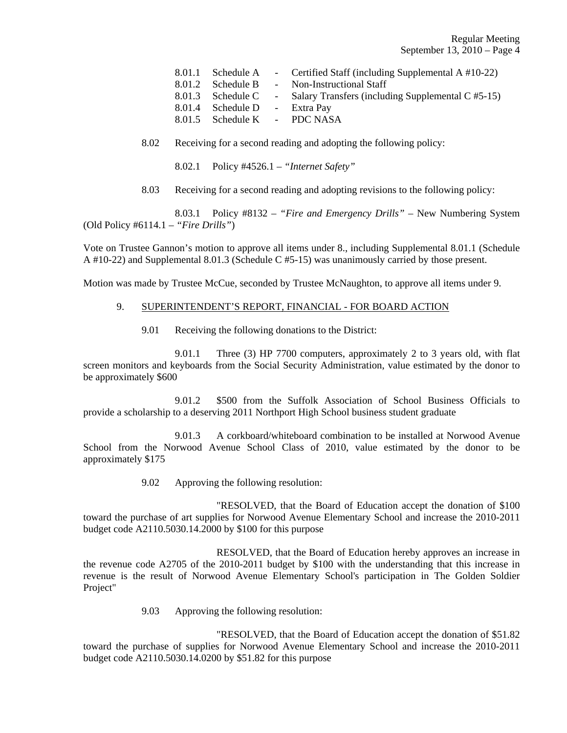Regular Meeting September 13, 2010 – Page 4

|        |                              | 8.01.1 Schedule A - Certified Staff (including Supplemental A #10-22) |
|--------|------------------------------|-----------------------------------------------------------------------|
|        | 8.01.2 Schedule B            | - Non-Instructional Staff                                             |
|        |                              | 8.01.3 Schedule C - Salary Transfers (including Supplemental C #5-15) |
| 8.01.4 | Schedule D - Extra Pay       |                                                                       |
|        | 8.01.5 Schedule K - PDC NASA |                                                                       |

8.02 Receiving for a second reading and adopting the following policy:

8.02.1 Policy #4526.1 – *"Internet Safety"*

8.03 Receiving for a second reading and adopting revisions to the following policy:

 8.03.1 Policy #8132 – *"Fire and Emergency Drills"* – New Numbering System (Old Policy #6114.1 – *"Fire Drills"*)

Vote on Trustee Gannon's motion to approve all items under 8., including Supplemental 8.01.1 (Schedule A #10-22) and Supplemental 8.01.3 (Schedule C #5-15) was unanimously carried by those present.

Motion was made by Trustee McCue, seconded by Trustee McNaughton, to approve all items under 9.

### 9. SUPERINTENDENT'S REPORT, FINANCIAL - FOR BOARD ACTION

9.01 Receiving the following donations to the District:

 9.01.1 Three (3) HP 7700 computers, approximately 2 to 3 years old, with flat screen monitors and keyboards from the Social Security Administration, value estimated by the donor to be approximately \$600

 9.01.2 \$500 from the Suffolk Association of School Business Officials to provide a scholarship to a deserving 2011 Northport High School business student graduate

 9.01.3 A corkboard/whiteboard combination to be installed at Norwood Avenue School from the Norwood Avenue School Class of 2010, value estimated by the donor to be approximately \$175

9.02 Approving the following resolution:

 "RESOLVED, that the Board of Education accept the donation of \$100 toward the purchase of art supplies for Norwood Avenue Elementary School and increase the 2010-2011 budget code A2110.5030.14.2000 by \$100 for this purpose

 RESOLVED, that the Board of Education hereby approves an increase in the revenue code A2705 of the 2010-2011 budget by \$100 with the understanding that this increase in revenue is the result of Norwood Avenue Elementary School's participation in The Golden Soldier Project"

9.03 Approving the following resolution:

 "RESOLVED, that the Board of Education accept the donation of \$51.82 toward the purchase of supplies for Norwood Avenue Elementary School and increase the 2010-2011 budget code A2110.5030.14.0200 by \$51.82 for this purpose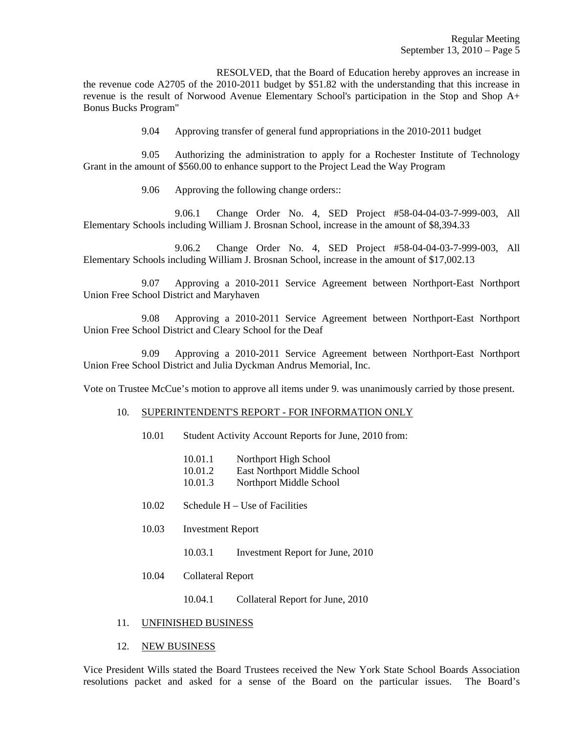RESOLVED, that the Board of Education hereby approves an increase in the revenue code A2705 of the 2010-2011 budget by \$51.82 with the understanding that this increase in revenue is the result of Norwood Avenue Elementary School's participation in the Stop and Shop A+ Bonus Bucks Program"

9.04 Approving transfer of general fund appropriations in the 2010-2011 budget

 9.05 Authorizing the administration to apply for a Rochester Institute of Technology Grant in the amount of \$560.00 to enhance support to the Project Lead the Way Program

9.06 Approving the following change orders::

 9.06.1 Change Order No. 4, SED Project #58-04-04-03-7-999-003, All Elementary Schools including William J. Brosnan School, increase in the amount of \$8,394.33

 9.06.2 Change Order No. 4, SED Project #58-04-04-03-7-999-003, All Elementary Schools including William J. Brosnan School, increase in the amount of \$17,002.13

 9.07 Approving a 2010-2011 Service Agreement between Northport-East Northport Union Free School District and Maryhaven

 9.08 Approving a 2010-2011 Service Agreement between Northport-East Northport Union Free School District and Cleary School for the Deaf

 9.09 Approving a 2010-2011 Service Agreement between Northport-East Northport Union Free School District and Julia Dyckman Andrus Memorial, Inc.

Vote on Trustee McCue's motion to approve all items under 9. was unanimously carried by those present.

### 10. SUPERINTENDENT'S REPORT - FOR INFORMATION ONLY

- 10.01 Student Activity Account Reports for June, 2010 from:
	- 10.01.1 Northport High School
	- 10.01.2 East Northport Middle School
	- 10.01.3 Northport Middle School
- 10.02 Schedule H Use of Facilities
- 10.03 Investment Report
	- 10.03.1 Investment Report for June, 2010
- 10.04 Collateral Report
	- 10.04.1 Collateral Report for June, 2010

#### 11. UNFINISHED BUSINESS

#### 12. NEW BUSINESS

Vice President Wills stated the Board Trustees received the New York State School Boards Association resolutions packet and asked for a sense of the Board on the particular issues. The Board's